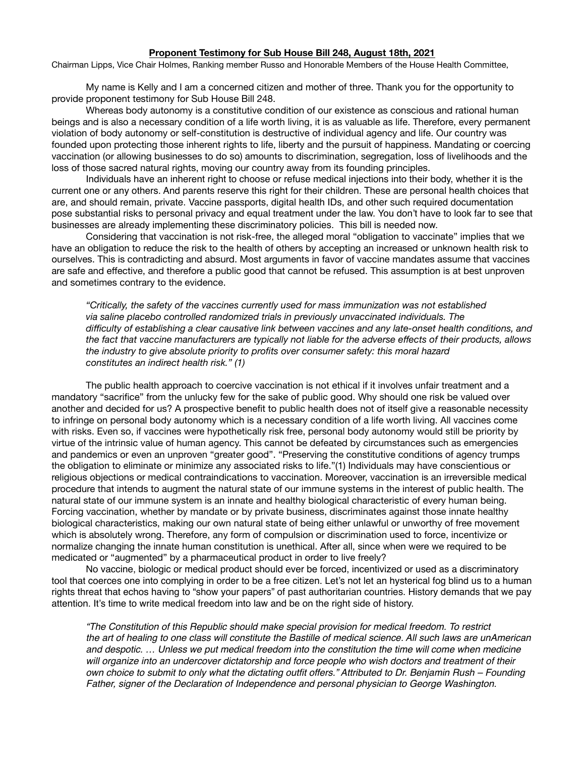## **Proponent Testimony for Sub House Bill 248, August 18th, 2021**

Chairman Lipps, Vice Chair Holmes, Ranking member Russo and Honorable Members of the House Health Committee, 

My name is Kelly and I am a concerned citizen and mother of three. Thank you for the opportunity to provide proponent testimony for Sub House Bill 248.

Whereas body autonomy is a constitutive condition of our existence as conscious and rational human beings and is also a necessary condition of a life worth living, it is as valuable as life. Therefore, every permanent violation of body autonomy or self-constitution is destructive of individual agency and life. Our country was founded upon protecting those inherent rights to life, liberty and the pursuit of happiness. Mandating or coercing vaccination (or allowing businesses to do so) amounts to discrimination, segregation, loss of livelihoods and the loss of those sacred natural rights, moving our country away from its founding principles.

Individuals have an inherent right to choose or refuse medical injections into their body, whether it is the current one or any others. And parents reserve this right for their children. These are personal health choices that are, and should remain, private. Vaccine passports, digital health IDs, and other such required documentation pose substantial risks to personal privacy and equal treatment under the law. You don't have to look far to see that businesses are already implementing these discriminatory policies. This bill is needed now.

Considering that vaccination is not risk-free, the alleged moral "obligation to vaccinate" implies that we have an obligation to reduce the risk to the health of others by accepting an increased or unknown health risk to ourselves. This is contradicting and absurd. Most arguments in favor of vaccine mandates assume that vaccines are safe and effective, and therefore a public good that cannot be refused. This assumption is at best unproven and sometimes contrary to the evidence.

*"Critically, the safety of the vaccines currently used for mass immunization was not established*  via saline placebo controlled randomized trials in previously unvaccinated individuals. The *difficulty of establishing a clear causative link between vaccines and any late-onset health conditions, and the fact that vaccine manufacturers are typically not liable for the adverse effects of their products, allows the industry to give absolute priority to profits over consumer safety: this moral hazard constitutes an indirect health risk." (1)*

The public health approach to coercive vaccination is not ethical if it involves unfair treatment and a mandatory "sacrifice" from the unlucky few for the sake of public good. Why should one risk be valued over another and decided for us? A prospective benefit to public health does not of itself give a reasonable necessity to infringe on personal body autonomy which is a necessary condition of a life worth living. All vaccines come with risks. Even so, if vaccines were hypothetically risk free, personal body autonomy would still be priority by virtue of the intrinsic value of human agency. This cannot be defeated by circumstances such as emergencies and pandemics or even an unproven "greater good". "Preserving the constitutive conditions of agency trumps the obligation to eliminate or minimize any associated risks to life."(1) Individuals may have conscientious or religious objections or medical contraindications to vaccination. Moreover, vaccination is an irreversible medical procedure that intends to augment the natural state of our immune systems in the interest of public health. The natural state of our immune system is an innate and healthy biological characteristic of every human being. Forcing vaccination, whether by mandate or by private business, discriminates against those innate healthy biological characteristics, making our own natural state of being either unlawful or unworthy of free movement which is absolutely wrong. Therefore, any form of compulsion or discrimination used to force, incentivize or normalize changing the innate human constitution is unethical. After all, since when were we required to be medicated or "augmented" by a pharmaceutical product in order to live freely?

No vaccine, biologic or medical product should ever be forced, incentivized or used as a discriminatory tool that coerces one into complying in order to be a free citizen. Let's not let an hysterical fog blind us to a human rights threat that echos having to "show your papers" of past authoritarian countries. History demands that we pay attention. It's time to write medical freedom into law and be on the right side of history.

*"The Constitution of this Republic should make special provision for medical freedom. To restrict the art of healing to one class will constitute the Bastille of medical science. All such laws are unAmerican and despotic. … Unless we put medical freedom into the constitution the time will come when medicine will organize into an undercover dictatorship and force people who wish doctors and treatment of their own choice to submit to only what the dictating outfit offers." Attributed to Dr. Benjamin Rush – Founding Father, signer of the Declaration of Independence and personal physician to George Washington.*